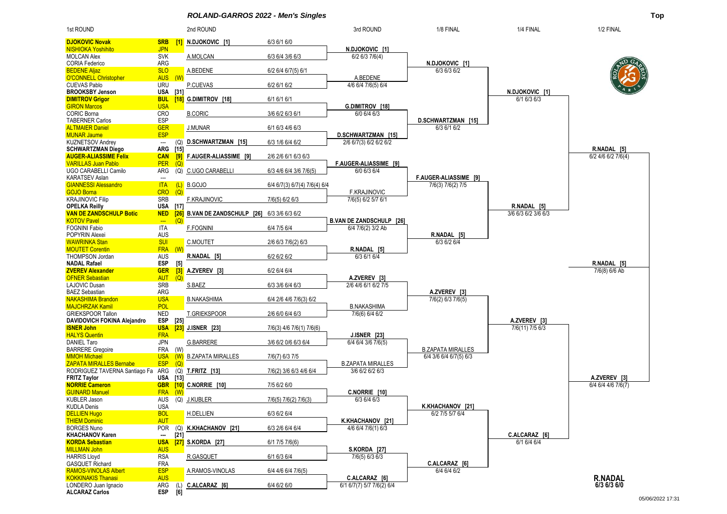*ROLAND-GARROS 2022 - Men's Singles* **Top**